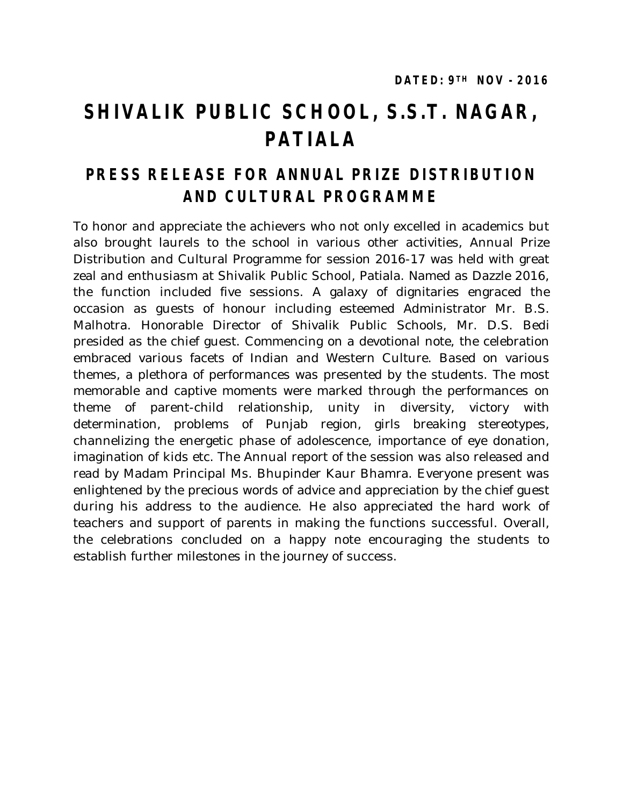## **SHIVALIK PUBLIC SCHOOL, S.S.T. NAGAR, PATIALA**

## **PRESS RELEASE FOR ANNUAL PRIZE DISTRIBUTION AND CULTURAL PROGRAMME**

To honor and appreciate the achievers who not only excelled in academics but also brought laurels to the school in various other activities, Annual Prize Distribution and Cultural Programme for session 2016-17 was held with great zeal and enthusiasm at Shivalik Public School, Patiala. Named as Dazzle 2016, the function included five sessions. A galaxy of dignitaries engraced the occasion as guests of honour including esteemed Administrator Mr. B.S. Malhotra. Honorable Director of Shivalik Public Schools, Mr. D.S. Bedi presided as the chief guest. Commencing on a devotional note, the celebration embraced various facets of Indian and Western Culture. Based on various themes, a plethora of performances was presented by the students. The most memorable and captive moments were marked through the performances on theme of parent-child relationship, unity in diversity, victory with determination, problems of Punjab region, girls breaking stereotypes, channelizing the energetic phase of adolescence, importance of eye donation, imagination of kids etc. The Annual report of the session was also released and read by Madam Principal Ms. Bhupinder Kaur Bhamra. Everyone present was enlightened by the precious words of advice and appreciation by the chief guest during his address to the audience. He also appreciated the hard work of teachers and support of parents in making the functions successful. Overall, the celebrations concluded on a happy note encouraging the students to establish further milestones in the journey of success.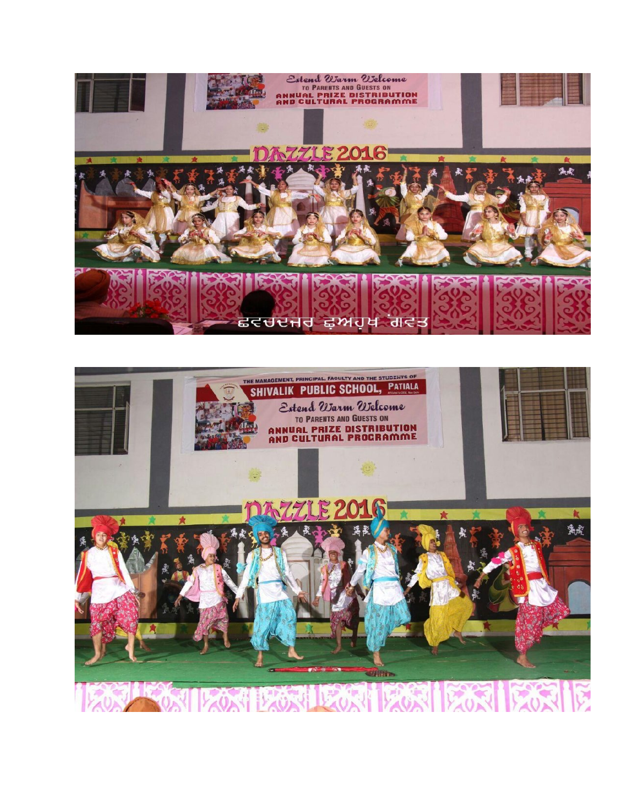

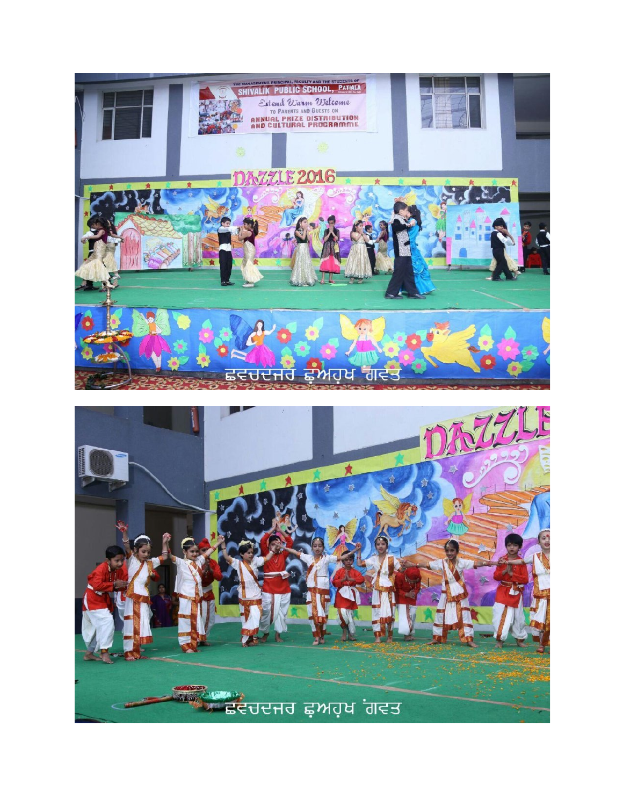